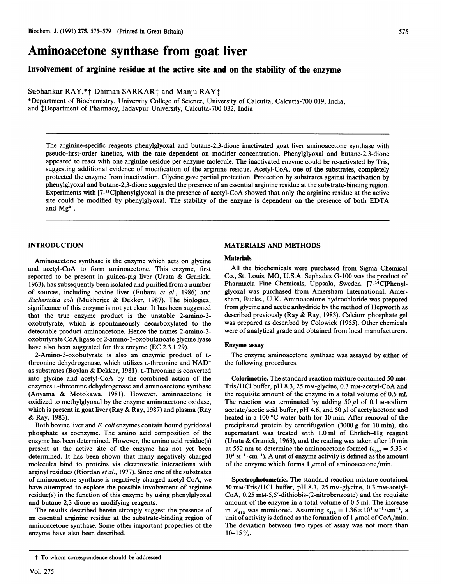# Aminoacetone synthase from goat liver

## Involvement of arginine residue at the active site and on the stability of the enzyme

Subhankar RAY,\*† Dhiman SARKAR<sup>†</sup> and Manju RAY<sup>†</sup>

\*Department of Biochemistry, University College of Science, University of Calcutta, Calcutta-700 019, India, and tDepartment of Pharmacy, Jadavpur University, Calcutta-700 032, India

The arginine-specific reagents phenylglyoxal and butane-2,3-dione inactivated goat liver aminoacetone synthase with pseudo-first-order kinetics, with the rate dependent on modifier concentration. Phenylglyoxal and butane-2,3-dione appeared to react with one arginine residue per enzyme molecule. The inactivated enzyme could be re-activated by Tris, suggesting additional evidence of modification of the arginine residue. Acetyl-CoA, one of the substrates, completely protected the enzyme from inactivation. Glycine gave partial protection. Protection by substrates against inactivation by phenylglyoxal and butane-2,3-dione suggested the presence of an essential arginine residue at the substrate-binding region. Experiments with [7-14C]phenylglyoxal in the presence of acetyl-CoA showed that only the arginine residue at the active site could be modified by phenylglyoxal. The stability of the enzyme is dependent on the presence of both EDTA and  $Mg^{2+}$ .

## INTRODUCTION

Aminoacetone synthase is the enzyme which acts on glycine and acetyl-CoA to form aminoacetone. This enzyme, first<br>represented to be present in guinea-pig liver. (Urata & Granick, reported to be present in guinea-pig liver (Urata  $\&$  Granick, 1963), has subsequently been isolated and purified from a number of sources, including bovine liver (Fubara et al., 1986) and If sources, including bovine liver (Fubara *et al.*, 1980) and<br>Escherichia coli (Multherica & Dekker, 1997). The biological *Escherichia coli* (Mukherjee & Dekker, 1987). The biological significance of this enzyme is not yet clear. It has been suggested that the true enzyme product is the unstable 2-amino-3 oxobutyrate, which is spontaneously decarboxylated to the detectable product amino-3-amino-3-amino-3-amino-3-amino-3-amino-3-amino-3-amino-3-amino-3-amino-3-amino-3-ami<br>1. Amino-3-amino-3-amino-3-amino-3-amino-3-amino-3-amino-3-amino-3-amino-3-amino-3-amino-3-amino-3-amino-3-ami oxobutyrate component aminoacetone. Hence the names 2-amino-3-oxobutanoate glycine lysses oxobutyrate CoA ligase or 2-amino-3-oxobutanoate glycine lyase<br>have also been suggested for this enzyme (EC 2.3.1.29).  $\alpha$  also been suggested for this enzyme (LC 2.3.1.27).

 $2$ -Amino-3-oxobutyrate is also an enzymic product of Lthreonine dehydrogenase, which utilizes L-threonine and NAD<sup>+</sup> as substrates (Boylan & Dekker, 1981). L-Threonine is converted into glycine and acetyl-CoA by the combined action of the enzymes L-threonine dehydrogenase and aminoacetone synthase (Aoyama & Motokawa, 1981). However, aminoacetone is oxidized to methylglyoxal by the enzyme aminoacetone oxidase, which is present in goat liver (Ray & Ray, 1987) and plasma (Ray & Ray, 1983). Ray, 1983).<br>E. coli enzymes contain bound pyridoxal pyridoxal pyridoxal pyridoxal pyridoxal pyridoxal pyridoxal pyridoxal

pour bovine liver and *E. coll* enzymes contain bound pyridoxal phosphate as coenzyme. The amino acid composition of the enzyme has been determined. However, the amino acid residue(s) present at the active site of the enzyme has not yet been determined. It has been shown that many negatively charged molecules bind to proteins via electrostatic interactions with arginyl residues (Riordan et al., 1977). Since one of the substrates of aminoacetone synthase is negatively charged acetyl-CoA, we have attempted to explore the possible involvement of arginine residue(s) in the function of this enzyme by using phenylglyoxal and butane-2,3-dione as modifying reagents.

The results described herein strongly suggest the presence of an essential arginine residue at the substrate-binding region of aminoacetone synthase. Some other important properties of the enzyme have also been described.

## MATERIALS AND METHODS

#### Materials

All the biochemicals were purchased from Sigma Chemical Co., St. Louis, MO, U.S.A. Sephadex G-100 was the product of  $P(x, 0)$ . Evals, MO, O.S.I. Depharmacia S-100 was the product of  $\frac{1}{4}$  maintainal was purchased from American International,  $\frac{1}{4}$ glyoxal was purchased from Amersham International, Amersham, Bucks., U.K. Aminoacetone hydrochloride was prepared  $f(x) = \frac{1}{2} \int_{0}^{x} f(x) \, dx$  and  $f(x) = \frac{1}{2} \int_{0}^{x} f(x) \, dx$  and  $f(x) = \frac{1}{2} \int_{0}^{x} f(x) \, dx$ rom givene and acetic annydride by the method of Hepworth as  $\frac{1}{2}$ was previously (Ray & Ray, 1909). Calcium phosphate generals of  $\frac{1}{2}$ was prepared as described by Colowick (1733). Other chemicals.

#### Enzyme assay

The enzyme aminoacetone synthase was assayed by either of the following procedures.

Colorimetric. The standard reaction mixture contained 50 me-**Colorimetric.** I be standard reaction mixture contained 50 mM-<br> $\frac{1}{2}$ Tris/HCl buffer, pH 8.3, 25 mm-glycine, 0.3 mm-acetyl-CoA and the requisite amount of the enzyme in a total volume of  $0.5$  m. The reaction was terminated by adding 50  $\mu$ l of 0.1 M-sodium acetate/acetic acid buffer, pH 4.6, and 50  $\mu$ l of acetylacetone and heated in a 100  $\degree$ C water bath for 10 min. After removal of the precipitated protein by centrifugation (3000  $g$  for 10 min), the supernatant was treated with  $1.0$  ml of Ehrlich–Hg reagent (Urata & Granick, 1963), and the reading was taken after 10 min at 552 nm to determine the aminoacetone formed ( $\epsilon_{552} = 5.33 \times$  $10^4$  M<sup>-1</sup> · cm<sup>-1</sup>). A unit of enzyme activity is defined as the amount of the enzyme which forms 1  $\mu$ mol of aminoacetone/min.

Spectrophotometric. The standard reaction mixture contained 50 mm-Tris/HCl buffer, pH 8.3, 25 mm-glycine, 0.3 mm-acetyl-CoA, 0.25 mm-5,5'-dithiobis-(2-nitrobenzoate) and the requisite amount of the enzyme in a total volume of 0.5 ml. The increase n  $A_{412}$  was monitored. Assuming  $\epsilon_{412} = 1.36 \times 10^4$  M  $\cdot$  Cm  $\cdot$ , a unit of activity is defined as the formation of  $\mu$  mol of CoA/min. The deviation between two types of assay was not more than  $10-15\%$ .

<sup>t</sup> To whom correspondence should be addressed.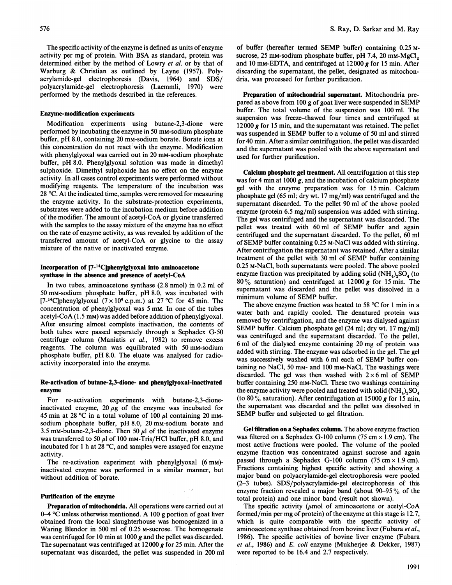The specific activity of the enzyme is defined as units of enzyme activity per mg of protein. With BSA as standard, protein was determined either by the method of Lowry et al. or by that of Warburg & Christian as outlined by Layne (1957). Polyacrylamide-gel electrophoresis (Davis, 1964) and SDS/ polyacrylamide-gel electrophoresis (Laemmli, 1970) were performed by the methods described in the references.

#### Enzyme-modification experiments

Modification experiments using butane-2,3-dione were performed by incubating the enzyme in 50 mM-sodium phosphate buffer, pH 8.0, containing 20 mM-sodium borate. Borate ions at this concentration do not react with the enzyme. Modification with phenylglyoxal was carried out in 20 mm-sodium phosphate buffer, pH 8.0. Phenylglyoxal solution was made in dimethyl sulphoxide. Dimethyl sulphoxide has no effect on the enzyme activity. In all cases control experiments were performed without modifying reagents. The temperature of the incubation was 28 'C. At the indicated time, samples were removed for measuring the enzyme activity. In the substrate-protection experiments, substrates were added to the incubation medium before addition of the modifier. The amount of acetyl-CoA or glycine transferred with the samples to the assay mixture of the enzyme has no effect on the rate of enzyme activity, as was revealed by addition of the transferred amount of acetyl-CoA or glycine to the assay mixture of the native or inactivated enzyme.

## Incorporation of 17-14Cjphenylglyoxal into aminoacetone synthase in the absence and presence of acetyl-CoA

In two tubes, aminoacetone synthase (2.8 nmol) in 0.2 ml of <sup>50</sup> mM-sodium phosphate buffer, pH 8.0, was incubated with [7-<sup>14</sup>C]phenylglyoxal  $(7 \times 10^6 \text{ c.p.m.})$  at 27 °C for 45 min. The concentration of phenylglyoxal was <sup>5</sup> mm. In one of the tubes  $acetyl-CoA (1.5 mM) was added before addition of phenylglyoxal.$ After ensuring almost complete inactivation, the contents of both tubes were passed separately through a Sephadex G-50 centrifuge column (Maniatis et al., 1982) to remove excess reagents. The column was equilibrated with 50 mM-sodium phosphate buffer, pH 8.0. The eluate was analysed for radioactivity incorporated into the enzyme.

## Re-activation of butane-2,3-dione- and phenylglyoxal-inactivated enzyme

For re-activation experiments with butane-2,3-dioneinactivated enzyme,  $20 \mu g$  of the enzyme was incubated for 45 min at 28 °C in a total volume of 100  $\mu$ l containing 20 mmsodium phosphate buffer, pH 8.0, <sup>20</sup> mM-sodium borate and 3.5 mM-butane-2,3-dione. Then 50  $\mu$ l of the inactivated enzyme was transferred to 50  $\mu$ l of 100 mm-Tris/HCl buffer, pH 8.0, and incubated for <sup>I</sup> h at 28 'C, and samples were assayed for enzyme activity.

The re-activation experiment with phenylglyoxal (6 mm)inactivated enzyme was performed in a similar manner, but without addition of borate.

#### Purification of the enzyme

Preparation of mitochondria. All operations were carried out at 0–4  $\degree$ C unless otherwise mentioned. A 100 g portion of goat liver obtained from the local slaughterhouse was homogenized in a Waring Blendor in 500 ml of 0.25 M-sucrose. The homogenate was centrifuged for 10 min at 1000 g and the pellet was discarded. The supernatant was centrifuged at  $12000$  g for  $25$  min. After the supernatant was discarded, the pellet was suspended in 200 ml

of buffer (hereafter termed SEMP buffer) containing 0.25 Msucrose, 25 mm-sodium phosphate buffer, pH 7.4, 20 mm-MgCl<sub>2</sub> and 10 mm-EDTA, and centrifuged at  $12000 g$  for 15 min. After discarding the supernatant, the pellet, designated as mitochondria, was processed for further purification.

Preparation of mitochondrial supernatant. Mitochondria prepared as above from <sup>100</sup> <sup>g</sup> of goat liver were suspended in SEMP buffer. The total volume of the suspension was 100 ml. The suspension was freeze-thawed four times and centrifuged at 12000 g for 15 min, and the supernatant was retained. The pellet was suspended in SEMP buffer to <sup>a</sup> volume of <sup>50</sup> ml and stirred for 40 min. After a similar centrifugation, the pellet was discarded and the supernatant was pooled with the above supernatant and used for further purification.

Calcium phosphate gel treatment. All centrifugation at this step was for 4 min at 1000  $g$ , and the incubation of calcium phosphate gel with the enzyme preparation was for 15 min. Calcium phosphate gel (65 ml; dry wt. 17 mg/ml) was centrifuged and the supernatant discarded. To the pellet 90 ml of the above pooled enzyme (protein 6.5 mg/ml) suspension was added with stirring. The gel was centrifuged and the supernatant was discarded. The pellet was treated with <sup>60</sup> ml of SEMP buffer and again centrifuged and the supernatant discarded. To the pellet, 60 ml of SEMP buffer containing 0.25 M-NaCl was added with stirring. After centrifugation the supernatant was retained. After a similar treatment of the pellet with <sup>30</sup> ml of SEMP buffer containing 0.25 M-NaCl, both supernatants were pooled. The above pooled enzyme fraction was precipitated by adding solid  $(NH_4)_2SO_4$  (to  $80\%$  saturation) and centrifuged at 12000 g for 15 min. The supernatant was discarded and the pellet was dissolved in a minimum volume of SEMP buffer.

The above enzyme fraction was heated to 58 °C for 1 min in a water bath and rapidly cooled. The denatured protein was removed by centrifugation, and the enzyme was dialysed against SEMP buffer. Calcium phosphate gel (24 ml; dry wt. <sup>17</sup> mg/ml) was centrifuged and the supernatant discarded. To the pellet, <sup>6</sup> ml of the dialysed enzyme containing 20 mg of protein was added with stirring. The enzyme was adsorbed in the gel. The gel was successively washed with <sup>6</sup> ml each of SEMP buffer containing no NaCl, 50 mM- and 100 mM-NaCl. The washings were discarded. The gel was then washed with  $2 \times 6$  ml of SEMP buffer containing 250 mM-NaCl. These two washings containing the enzyme activity were pooled and treated with solid  $(NH_4)_2SO_4$ (to 80  $\%$  saturation). After centrifugation at 15000 g for 15 min, the supernatant was discarded and the pellet was dissolved in SEMP buffer and subjected to gel filtration.

Gel filtration on a Sephadex column. The above enzyme fraction was filtered on a Sephadex G-100 column (75 cm  $\times$  1.9 cm). The most active fractions were pooled. The volume of the pooled enzyme fraction was concentrated against sucrose and again passed through a Sephadex G-100 column (75 cm  $\times$  1.9 cm). Fractions containing highest specific activity and showing a major band on polyacrylamide-gel electrophoresis were pooled (2-3 tubes). SDS/polyacrylamide-gel electrophoresis of this enzyme fraction revealed <sup>a</sup> major band (about 90-95 % of the total protein) and one minor band (result not shown).

The specific activity ( $\mu$ mol of aminoacetone or acetyl-CoA formed/min per mg of protein) of the enzyme at this stage is 12.7, which is quite comparable with the specific activity of aminoacetone synthase obtained from bovine liver (Fubara et al., 1986). The specific activities of bovine liver enzyme (Fubara et al., 1986) and E. coli enzyme (Mukherjee & Dekker, 1987) were reported to be 16.4 and 2.7 respectively.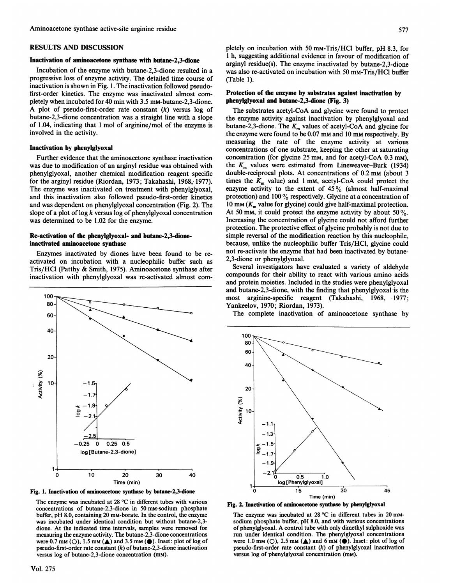#### RESULTS AND DISCUSSION

## Inactivation of aminoacetone synthase with butane-2,3-dione

Incubation of the enzyme with butane-2,3-dione resulted in a progressive loss of enzyme activity. The detailed time course of inactivation is shown in Fig. 1. The inactivation followed pseudofirst-order kinetics. The enzyme was inactivated almost completely when incubated for 40 min with 3.5 mM-butane-2,3-dione. A plot of pseudo-first-order rate constant  $(k)$  versus log of butane-2,3-dione concentration was a straight line with a slope of 1.04, indicating that <sup>1</sup> mol of arginine/mol of the enzyme is involved in the activity.

## Inactivation by phenylglyoxal

Further evidence that the aminoacetone synthase inactivation was due to modification of an arginyl residue was obtained with phenylglyoxal, another chemical modification reagent specific for the arginyl residue (Riordan, 1973; Takahashi, 1968, 1977). The enzyme was inactivated on treatment with phenylglyoxal, and this inactivation also followed pseudo-first-order kinetics and was dependent on phenylglyoxal concentration (Fig. 2). The slope of a plot of  $\log k$  versus log of phenylglyoxal concentration was determined to be 1.02 for the enzyme.

## Re-activation of the phenylglyoxal- and butane-2,3-dioneinactivated aminoacetone synthase

Enzymes inactivated by diones have been found to be reactivated on incubation with a nucleophilic buffer such as Tris/HCI (Patthy & Smith, 1975). Aminoacetone synthase after inactivation with phenylglyoxal was re-activated almost com-





The enzyme was incubated at 28  $^{\circ}$ C in different tubes with various concentrations of butane-2,3-dione in 50 mm-sodium phosphate buffer, pH 8.0, containing 20 mM-borate. In the control, the enzyme was incubated under identical condition but without butane-2,3dione. At the indicated time intervals, samples were removed for measuring the enzyme activity. The butane-2,3-dione concentrations were  $0.7 \text{ mm } (\bigcirc)$ ,  $1.5 \text{ mm } (\triangle)$  and  $3.5 \text{ mm } (\bigcirc)$ . Inset: plot of log of pseudo-first-order rate constant  $(k)$  of butane-2,3-dione inactivation versus log of butane-2,3-dione concentration (mM).

pletely on incubation with 50 mM-Tris/HCl buffer, pH 8.3, for <sup>1</sup> h, suggesting additional evidence in favour of modification of arginyl residue(s). The enzyme inactivated by butane-2,3-dione was also re-activated on incubation with 50 mM-Tris/HCl buffer (Table 1).

### Protection of the enzyme by substrates against inactivation by phenylglyoxal and butane-2,3-dione (Fig. 3)

The substrates acetyl-CoA and glycine were found to protect the enzyme activity against inactivation by phenylglyoxal and butane-2,3-dione. The  $K<sub>m</sub>$  values of acetyl-CoA and glycine for the enzyme were found to be 0.07 mm and <sup>10</sup> mm respectively. By measuring the rate of the enzyme activity at various concentrations of one substrate, keeping the other at saturating concentration (for glycine 25 mm, and for acetyl-CoA 0.3 mM), the  $K<sub>m</sub>$  values were estimated from Lineweaver-Burk (1934) double-reciprocal plots. At concentrations of 0.2 mm (about <sup>3</sup> times the  $K<sub>m</sub>$  value) and 1 mm, acetyl-CoA could protect the incs the  $K_m$  value) and I lim, accept correct the protect the<br>ingume activity to the extent of  $45\%$  (almost half-maximal protection) and  $100\%$  respectively. Glycine at a concentration of interesting at a concentration of protection) and 100 % respectively. Glycine at a concentration of 10 mm  $(K_m$  value for glycine) could give half-maximal protection. At 50 mm, it could protect the enzyme activity by about 50 %. Increasing the concentration of glycine could not afford further protection. The protective effect of glycine probably is not due to simple reversal of the modification reaction by this nucleophile, because, unlike the nucleophilic buffer Tris/HCl, glycine could not re-activate the enzyme that had been inactivated by butane-2,3-dione or phenylglyoxal. Several investigations have evaluated a variety of alleged a variety of alleged a variety of alleged a variety of alleged a variety of alleged a variety of alleged a variety of alleged a variety of alleged a variety of all

correlate investigators have evaluated a various of algebraic compounds for their ability to react with various amino acids and protein moieties. Included in the studies were phenylglyoxal and butane-2,3-dione, with the finding that phenylgly oxal is the most arginine-specific reagent (Takahashi, 1968, 1977; Yankeelov, 1970; Riordan, 1973).

The complete inactivation of aminoacetone synthase by



Fig. 2. Inactivation of aminoacetone synthase by phenylglyoxal

The enzyme was incubated at  $28 \text{ °C}$  in different tubes in  $20 \text{ mm}$ sodium phosphate buffer, pH 8.0, and with various concentrations of phenylglyoxal. A control tube with only dimethyl sulphoxide was run under identical condition. The phenylglyoxal concentrations were 1.0 mm (O), 2.5 mm ( $\triangle$ ) and 6 mm ( $\bigcirc$ ). Inset: plot of log of pseudo-first-order rate constant  $(k)$  of phenylglyoxal inactivation versus log of phenylglyoxal concentration (mM).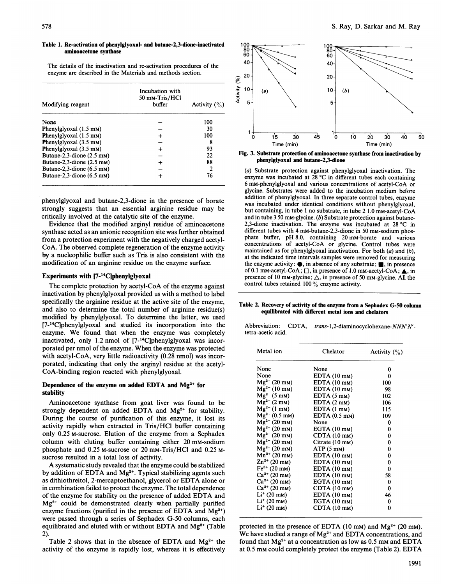#### Table 1. Re-activation of phenylglyoxal- and butane-2,3-dione-inactivated aminoacetone synthase

The details of the inactivation and re-activation procedures of the enzyme are described in the Materials and methods section.

|                                         | Incubation with<br>50 mm-Tris/HCl |                  |
|-----------------------------------------|-----------------------------------|------------------|
| Modifying reagent                       | buffer                            | Activity $(\% )$ |
| None                                    |                                   | 100              |
| Phenylglyoxal (1.5 mm)                  |                                   | 30               |
| Phenylglyoxal $(1.5 \text{ mm})$        |                                   | 100              |
| <b>Phenylglyoxal</b> $(3.5 \text{ mm})$ |                                   | 8                |
| Phenylglyoxal (3.5 mm)                  | $\div$                            | 93               |
| Butane-2,3-dione $(2.5 \text{ mm})$     |                                   | 22               |
| Butane-2,3-dione $(2.5 \text{ mm})$     | ┿                                 | 88               |
| Butane-2,3-dione $(6.5 \text{ mm})$     |                                   | 2                |
| Butane-2,3-dione $(6.5 \text{ mm})$     |                                   | 76               |

phenylglyoxal and butane-2,3-dione in the presence of borate strongly suggests that an essential arginine residue may be critically involved at the catalytic site of the enzyme.

Evidence that the modified arginyl residue of aminoacetone synthase acted as an anionic recognition site was further obtained from a protection experiment with the negatively charged acetyl-CoA. The observed complete regeneration of the enzyme activity by a nucleophilic buffer such as Tris is also consistent with the modification of an arginine residue on the enzyme surface.

## Experiments with  $[7-14C]$ phenylglyoxal

The complete protection by acetyl-CoA of the enzyme against inactivation by phenylglyoxal provided us with a method to label specifically the arginine residue at the active site of the enzyme, and also to determine the total number of arginine residue(s) modified by phenylglyoxal. To determine the latter, we used [7-14C]phenylglyoxal and studied its incorporation into the enzyme. We found that when the enzyme was completely inactivated, only 1.2 nmol of [7-<sup>14</sup>C]phenylglyoxal was incorporated per nmol of the enzyme. When the enzyme was protected with acetyl-CoA, very little radioactivity (0.28 nmol) was incorporated, indicating that only the arginyl residue at the acetyl-CoA-binding region reacted with phenylglyoxal.

## Dependence of the enzyme on added EDTA and  $Mg^{2+}$  for stability

Aminoacetone synthase from goat liver was found to be strongly dependent on added EDTA and Mg<sup>2+</sup> for stability. During the course of purification of this enzyme, it lost its activity rapidly when extracted in Tris/HCl buffer containing only 0.25 M-sucrose. Elution of the enzyme from a Sephadex column with eluting buffer containing either 20 mM-sodium phosphate and 0.25 M-sucrose or 20 mM-Tris/HCl and 0.25 Msucrose resulted in a total loss of activity.

A systematic study revealed that the enzyme could be stabilized by addition of EDTA and  $Mg^{2+}$ . Typical stabilizing agents such as dithiothreitol, 2-mercaptoethanol, glycerol or EDTA alone or in combination failed to protect the enzyme. The total dependence of the enzyme for stability on the presence of added EDTA and  $Mg^{2+}$  could be demonstrated clearly when partially purified enzyme fractions (purified in the presence of EDTA and  $Mg^{2+}$ ) were passed through a series of Sephadex G-50 columns, each equilibrated and eluted with or without EDTA and  $Mg^{2+}$  (Table 2).

Table 2 shows that in the absence of EDTA and  $Mg^{2+}$  the activity of the enzyme is rapidly lost, whereas it is effectively



Fig. 3. Substrate protection of aminoacetone synthase from inactivation by phenylglyoxal and butane-2,3-dione

(a) Substrate protection against phenylglyoxal inactivation. The enzyme was incubated at 28 °C in different tubes each containing 6 mM-phenylglyoxal and various concentrations of acetyl-CoA or glycine. Substrates were added to the incubation medium before addition of phenylglyoxal. In three separate control tubes, enzyme was incubated under identical conditions without phenylglyoxal, but containing, in tube 1 no substrate, in tube 2 1.0 mm-acetyl-CoA and in tube 3 50 mM-glycine. (b) Substrate protection against butane-2,3-dione inactivation. The enzyme was incubated at 28 °C in different tubes with 4 mM-butane-2,3-dione in 50 mM-sodium phosphate buffer, pH 8.0, containing 20 mM-borate and various concentrations of acetyl-CoA or glycine. Control tubes were maintained as for phenylglyoxal inactivation. For both  $(a)$  and  $(b)$ , at the indicated time intervals samples were removed for measuring the enzyme activity:  $\bullet$ , in absence of any substrate;  $\bullet$ , in presence of 0.1 mm-acetyl-CoA;  $\square$ , in presence of 1.0 mm-acetyl-CoA;  $\blacktriangle$ , in presence of 10 mm-glycine;  $\triangle$ , in presence of 50 mm-glycine. All the control tubes retained <sup>100</sup> % enzyme activity.

Table 2. Recovery of activity of the enzyme from a Sephadex G-50 column equilibrated with different metal ions and chelators

|                    | Abbreviation: CDTA, trans-1,2-diaminocyclohexane-NNN'N'- |
|--------------------|----------------------------------------------------------|
| tetra-acetic acid. |                                                          |

| Metal ion             | Chelator                | Activity $(\%)$ |
|-----------------------|-------------------------|-----------------|
| None                  | None                    | 0               |
| None                  | EDTA (10 mm)            | 0               |
| $Mg^{2+}$ (20 mm)     | EDTA (10 mm)            | 100             |
| $Mg^{2+}$ (10 mm)     | $EDTA(10$ $mm)$         | 98              |
| $Mg^{2+}$ (5 mm)      | EDTA(5 mM)              | 102             |
| $Mg^{2+}$ (2 mm)      | EDTA(2mm)               | 106             |
| $Mg^{2+}$ (1 mm)      | EDTA (1 mm)             | 115             |
| $Mg^{2+}$ (0.5 mM)    | EDTA $(0.5 \text{ mm})$ | 109             |
| $Mg^{2+}$ (20 mm)     | None                    | 0               |
| $Mg^{2+}$ (20 mm)     | EGTA (10 mm)            | 0               |
| $Mg^{2+}$ (20 mm)     | $CDTA(10$ mm)           | 0               |
| $Mg^{2+}$ (20 mm)     | Citrate (10 mm)         | 0               |
| $Mg^{2+}$ (20 mm)     | $ATP(5$ mM)             | 0               |
| $Mn^{2+}$ (20 mm)     | EDTA(10 mM)             | 0               |
| $Zn^{2+}$ (20 mm)     | $EDTA(10$ mM)           | 0               |
| $Fe3+$ (20 mm)        | EDTA (10 mm)            | 0               |
| $Ca^{2+}$ (20 mm)     | EDTA (10 mm)            | 58              |
| $Ca^{2+}$ (20 mm)     | EGTA (10 mm)            | 0               |
| $Ca^{2+}$ (20 mm)     | CDTA(10 mM)             | 0               |
| $Li^+(20 \text{ mm})$ | EDTA (10 mm)            | 46              |
| $Li^+(20 \text{ mm})$ | EGTA (10 mm)            | 0               |
| $Li^+(20 \text{ mm})$ | CDTA (10 mm)            | 0               |

protected in the presence of EDTA (10 mm) and  $Mg^{2+}$  (20 mm). We have studied a range of  $Mg^{2+}$  and EDTA concentrations, and found that  $Mg^{2+}$  at a concentration as low as 0.5 mm and EDTA at 0.5 mM could completely protect the enzyme (Table 2). EDTA